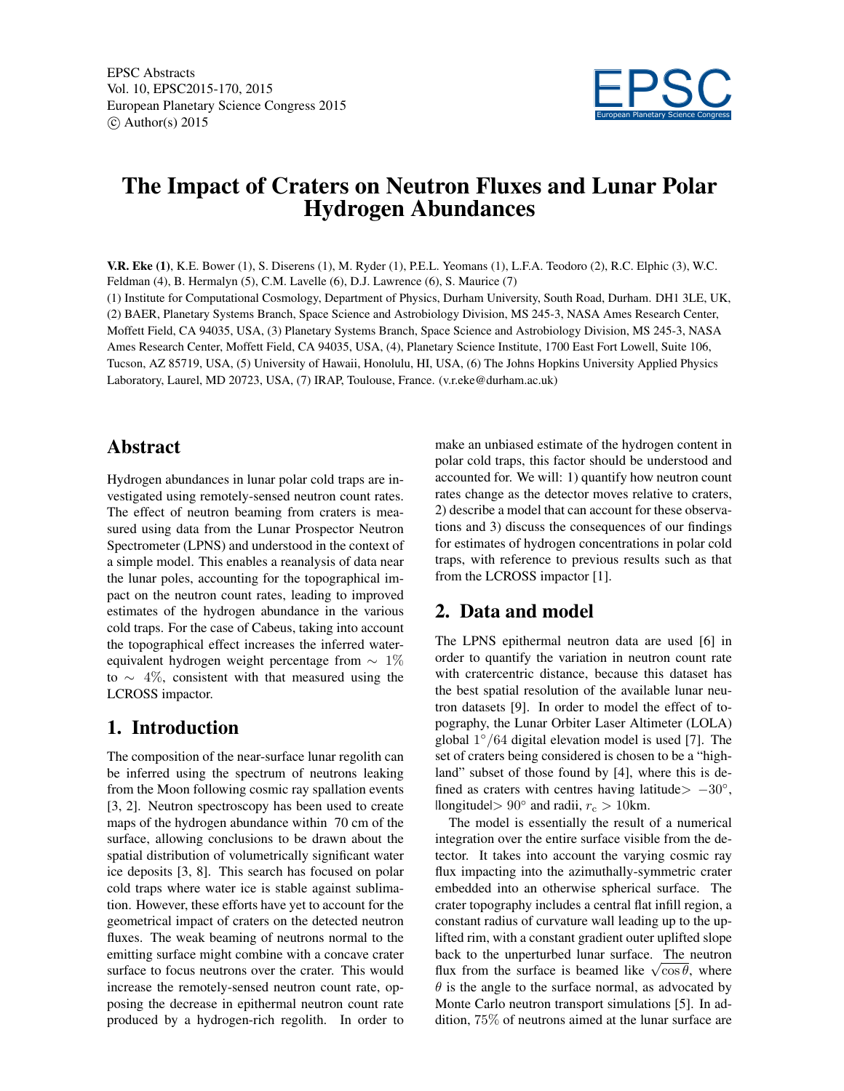EPSC Abstracts Vol. 10, EPSC2015-170, 2015 European Planetary Science Congress 2015  $\circ$  Author(s) 2015



# The Impact of Craters on Neutron Fluxes and Lunar Polar Hydrogen Abundances

V.R. Eke (1), K.E. Bower (1), S. Diserens (1), M. Ryder (1), P.E.L. Yeomans (1), L.F.A. Teodoro (2), R.C. Elphic (3), W.C. Feldman (4), B. Hermalyn (5), C.M. Lavelle (6), D.J. Lawrence (6), S. Maurice (7)

(1) Institute for Computational Cosmology, Department of Physics, Durham University, South Road, Durham. DH1 3LE, UK, (2) BAER, Planetary Systems Branch, Space Science and Astrobiology Division, MS 245-3, NASA Ames Research Center, Moffett Field, CA 94035, USA, (3) Planetary Systems Branch, Space Science and Astrobiology Division, MS 245-3, NASA Ames Research Center, Moffett Field, CA 94035, USA, (4), Planetary Science Institute, 1700 East Fort Lowell, Suite 106, Tucson, AZ 85719, USA, (5) University of Hawaii, Honolulu, HI, USA, (6) The Johns Hopkins University Applied Physics Laboratory, Laurel, MD 20723, USA, (7) IRAP, Toulouse, France. (v.r.eke@durham.ac.uk)

## Abstract

Hydrogen abundances in lunar polar cold traps are investigated using remotely-sensed neutron count rates. The effect of neutron beaming from craters is measured using data from the Lunar Prospector Neutron Spectrometer (LPNS) and understood in the context of a simple model. This enables a reanalysis of data near the lunar poles, accounting for the topographical impact on the neutron count rates, leading to improved estimates of the hydrogen abundance in the various cold traps. For the case of Cabeus, taking into account the topographical effect increases the inferred waterequivalent hydrogen weight percentage from  $\sim 1\%$ to ∼ 4%, consistent with that measured using the LCROSS impactor.

## 1. Introduction

The composition of the near-surface lunar regolith can be inferred using the spectrum of neutrons leaking from the Moon following cosmic ray spallation events [3, 2]. Neutron spectroscopy has been used to create maps of the hydrogen abundance within 70 cm of the surface, allowing conclusions to be drawn about the spatial distribution of volumetrically significant water ice deposits [3, 8]. This search has focused on polar cold traps where water ice is stable against sublimation. However, these efforts have yet to account for the geometrical impact of craters on the detected neutron fluxes. The weak beaming of neutrons normal to the emitting surface might combine with a concave crater surface to focus neutrons over the crater. This would increase the remotely-sensed neutron count rate, opposing the decrease in epithermal neutron count rate produced by a hydrogen-rich regolith. In order to make an unbiased estimate of the hydrogen content in polar cold traps, this factor should be understood and accounted for. We will: 1) quantify how neutron count rates change as the detector moves relative to craters, 2) describe a model that can account for these observations and 3) discuss the consequences of our findings for estimates of hydrogen concentrations in polar cold traps, with reference to previous results such as that from the LCROSS impactor [1].

## 2. Data and model

The LPNS epithermal neutron data are used [6] in order to quantify the variation in neutron count rate with cratercentric distance, because this dataset has the best spatial resolution of the available lunar neutron datasets [9]. In order to model the effect of topography, the Lunar Orbiter Laser Altimeter (LOLA) global  $1^{\circ}/64$  digital elevation model is used [7]. The set of craters being considered is chosen to be a "highland" subset of those found by [4], where this is defined as craters with centres having latitude $> -30°$ ,  $|longitude| > 90°$  and radii,  $r_c > 10$ km.

The model is essentially the result of a numerical integration over the entire surface visible from the detector. It takes into account the varying cosmic ray flux impacting into the azimuthally-symmetric crater embedded into an otherwise spherical surface. The crater topography includes a central flat infill region, a constant radius of curvature wall leading up to the uplifted rim, with a constant gradient outer uplifted slope back to the unperturbed lunar surface. The neutron flux from the surface is beamed like  $\sqrt{\cos \theta}$ , where  $\theta$  is the angle to the surface normal, as advocated by Monte Carlo neutron transport simulations [5]. In addition, 75% of neutrons aimed at the lunar surface are